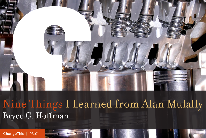

Nine Things I Learned from Alan Mulally Bryce G. Hoffman

[ChangeThis](http://changethis.com) | 93.01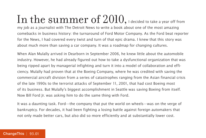In the summer of  $2010$ , I decided to take a year off from my job as a journalist with The Detroit News to write a book about one of the most amazing comebacks in business history: the turnaround of Ford Motor Company. As the Ford beat reporter for the News, I had covered every twist and turn of that epic drama. I knew that this story was about much more than saving a car company. It was a roadmap for changing cultures.

When Alan Mulally arrived in Dearborn in September 2006, he knew little about the automobile industry. However, he had already figured out how to take a dysfunctional organization that was being ripped apart by managerial infighting and turn it into a model of collaboration and efficiency. Mulally had proven that at the Boeing Company, where he was credited with saving the commercial aircraft division from a series of catastrophes ranging from the Asian financial crisis of the late 1990s to the terrorist attacks of September 11, 2001, that had cost Boeing most of its business. But Mulally's biggest accomplishment in Seattle was saving Boeing from itself. Now Bill Ford Jr. was asking him to do the same thing with Ford.

It was a daunting task. Ford—the company that put the world on wheels—was on the verge of bankruptcy. For decades, it had been fighting a losing battle against foreign automakers that not only made better cars, but also did so more efficiently and at substantially lower cost.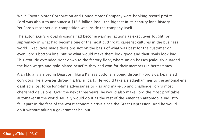While Toyota Motor Corporation and Honda Motor Company were booking record profits, Ford was about to announce a \$12.6 billion loss—the biggest in its century-long history. Yet Ford's most serious competition was inside the company itself.

The automaker's global divisions had become warring factions as executives fought for supremacy in what had become one of the most cutthroat, careerist cultures in the business world. Executives made decisions not on the basis of what was best for the customer or even Ford's bottom line, but by what would make them look good and their rivals look bad. This attitude extended right down to the factory floor, where union bosses jealously guarded the high wages and gold-plated benefits they had won for their members in better times.

Alan Mulally arrived in Dearborn like a Kansas cyclone, ripping through Ford's dark-paneled corridors like a twister through a trailer park. He would take a sledgehammer to the automaker's ossified silos, force long-time adversaries to kiss and make-up and challenge Ford's most cherished delusions. Over the next three years, he would also make Ford the most profitable automaker in the world. Mulally would do it as the rest of the American automobile industry fell apart in the face of the worst economic crisis since the Great Depression. And he would do it without taking a government bailout.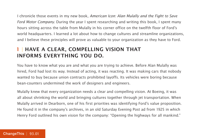I chronicle those events in my new book, American Icon: Alan Mulally and the Fight to Save Ford Motor Company. During the year I spent researching and writing this book, I spent many hours sitting across the table from Mulally in his corner office on the twelfth floor of Ford's world headquarters. I learned a lot about how to change cultures and streamline organizations, and I believe these principles will prove as valuable to your organization as they have to Ford.

#### **1** | **HAVE A CLEAR, COMPELLING VISION THAT INFORMS EVERYTHING YOU DO.**

You have to know what you are and what you are trying to achieve. Before Alan Mulally was hired, Ford had lost its way. Instead of acting, it was reacting. It was making cars that nobody wanted to buy because union contracts prohibited layoffs. Its vehicles were boring because bean-counters undermined the work of designers and engineers.

Mulally knew that every organization needs a clear and compelling vision. At Boeing, it was all about shrinking the world and bringing cultures together through jet transportation. When Mulally arrived in Dearborn, one of his first priorities was identifying Ford's value proposition. He found it in the company's archives, in an old Saturday Evening Post ad from 1925 in which Henry Ford outlined his own vision for the company: "Opening the highways for all mankind."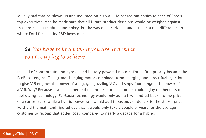Mulally had that ad blown up and mounted on his wall. He passed out copies to each of Ford's top executives. And he made sure that all future product decisions would be weighed against that promise. It might sound hokey, but he was dead serious—and it made a real difference on where Ford focused its R&D investment.

### *You have to know what you are and what " you are trying to achieve.*

Instead of concentrating on hybrids and battery powered motors, Ford's first priority became the EcoBoost engine. This game-changing motor combined turbo-charging and direct fuel-injection to give V-6 engines the power of a big, gas-guzzling V-8 and sippy four-bangers the power of a V-6. Why? Because it was cheaper and meant far more customers could enjoy the benefits of fuel-saving technology. EcoBoost technology would only add a few hundred bucks to the price of a car or truck, while a hybrid powertrain would add thousands of dollars to the sticker price. Ford did the math and figured out that it would only take a couple of years for the average customer to recoup that added cost, compared to nearly a decade for a hybrid.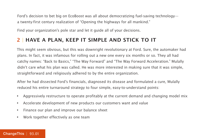Ford's decision to bet big on EcoBoost was all about democratizing fuel-saving technology a twenty-first century realization of "Opening the highways for all mankind."

Find your organization's pole star and let it guide all of your decisions.

#### **2** | **HAVE A PLAN, KEEP IT SIMPLE AND STICK TO IT**

This might seem obvious, but this was downright revolutionary at Ford. Sure, the automaker had plans. In fact, it was infamous for rolling out a new one every six months or so. They all had catchy names: "Back to Basics," "The Way Forward" and "The Way Forward Acceleration." Mulally didn't care what his plan was called. He was more interested in making sure that it was simple, straightforward and religiously adhered to by the entire organization.

After he had dissected Ford's financials, diagnosed its disease and formulated a cure, Mulally reduced his entire turnaround strategy to four simple, easy-to-understand points:

- • Aggressively restructure to operate profitably at the current demand and changing model mix
- • Accelerate development of new products our customers want and value
- • Finance our plan and improve our balance sheet
- • Work together effectively as one team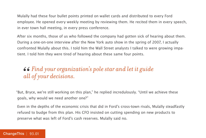Mulally had these four bullet points printed on wallet cards and distributed to every Ford employee. He opened every weekly meeting by reviewing them. He recited them in every speech, in ever town hall meeting, in every press conference.

After six months, those of us who followed the company had gotten sick of hearing about them. During a one-on-one interview after the New York auto show in the spring of 2007, I actually confronted Mulally about this. I told him the Wall Street analysts I talked to were growing impatient. I told him they were tired of hearing about these same four points.

### *Find your organization's pole star and let it guide*  66<br>|all *all of your decisions.*

"But, Bryce, we're still working on this plan," he replied incredulously. "Until we achieve these goals, why would we need another one?"

Even in the depths of the economic crisis that did in Ford's cross-town rivals, Mulally steadfastly refused to budge from this plan. His CFO insisted on cutting spending on new products to preserve what was left of Ford's cash reserves. Mulally said no.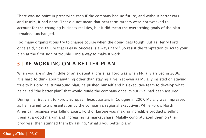There was no point in preserving cash if the company had no future, and without better cars and trucks, it had none. That did not mean that near-term targets were not tweaked to account for the changing business realities, but it did mean the overarching goals of the plan remained unchanged.

Too many organizations try to change course when the going gets tough. But as Henry Ford once said, "It is failure that is easy. Success is always hard." So resist the temptation to scrap your plan at the first sign of trouble. Find a way to make it work.

#### **3** | **BE WORKING ON A BETTER PLAN**

When you are in the middle of an existential crisis, as Ford was when Mulally arrived in 2006, it is hard to think about anything other than staying alive. Yet even as Mulally insisted on staying true to his original turnaround plan, he pushed himself and his executive team to develop what he called "the better plan" that would guide the company once its survival had been assured.

During his first visit to Ford's European headquarters in Cologne in 2007, Mulally was impressed as he listened to a presentation by the company's regional executives. While Ford's North American business was falling apart, Ford of Europe was making incredible products, selling them at a good margin and increasing its market share. Mulally congratulated them on their progress, then stunned them by asking, "What's you better plan?"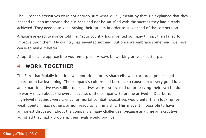The European executives were not entirely sure what Mulally meant by that. He explained that they needed to keep improving the business and not be satisfied with the success they had already achieved. They needed to keep raising their targets in order to stay ahead of the competition.

A Japanese executive once told me, "Your country has invented so many things, then failed to improve upon them. My country has invented nothing. But once we embrace something, we never cease to make it better."

Adopt the same approach to your enterprise. Always be working on your better plan.

#### **4** | **WORK TOGETHER**

The Ford that Mulally inherited was notorious for its sharp-elbowed corporate politics and boardroom backstabbing. The company's culture had become so caustic that every good idea and smart initiative was stillborn; executives were too focused on preserving their own fiefdoms to worry much about the overall success of the company. Before he arrived in Dearborn, high-level meetings were arenas for mortal combat. Executives would enter them looking for weak points in each other's armor, ready to jam in a shiv. This made it impossible to have an honest discussion about the company's many challenges, because any time an executive admitted they had a problem, their rivals would pounce.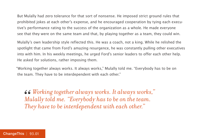But Mulally had zero tolerance for that sort of nonsense. He imposed strict ground rules that prohibited jokes at each other's expense, and he encouraged cooperation by tying each executive's performance rating to the success of the organization as a whole. He made everyone see that they were on the same team and that, by playing together as a team, they could win.

Mulally's own leadership style reflected this. He was a coach, not a king. While he relished the spotlight that came from Ford's amazing resurgence, he was constantly pulling other executives into with him. In his weekly meetings, he urged Ford's senior leaders to offer each other help. He asked for solutions, rather imposing them.

"Working together always works. It always works," Mulally told me. "Everybody has to be on the team. They have to be interdependent with each other."

*Working together always works. It always works," Mulally told me. "Everybody has to be on the team. They have to be interdependent with each other."* 66<br>Mu<br>Th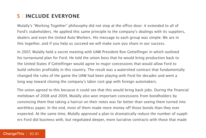#### **5** | **INCLUDE EVERYONE**

Mulally's "Working Together" philosophy did not stop at the office door; it extended to all of Ford's stakeholders. He applied this same principle to the company's dealings with its suppliers, dealers and even the United Auto Workers. His message to each group was simple: We are in this together, and if you help us succeed we will make sure you share in our success.

In 2007, Mulally held a secret meeting with UAW President Ron Gettelfinger in which outlined his turnaround plan for Ford. He told the union boss that he would bring production back to the United States if Gettelfinger would agree to major concessions that would allow Ford to build vehicles profitably in this country. The result was a watershed contract that fundamentally changed the rules of the game the UAW had been playing with Ford for decades and went a long way toward closing the company's labor cost gap with foreign automakers.

The union agreed to this because it could see that this would bring back jobs. During the financial meltdown of 2008 and 2009, Mulally also won important concessions from bondholders by convincing them that taking a haircut on their notes was far better than seeing them turned into worthless paper. In the end, most of them made more money off those bonds than they ever expected. At the same time, Mulally approved a plan to dramatically reduce the number of suppliers Ford did business with, but negotiated deeper, more lucrative contracts with those that made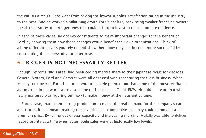the cut. As a result, Ford went from having the lowest supplier satisfaction rating in the industry to the best. And he worked similar magic with Ford's dealers, convincing weaker franchise owners to sell their stores to stronger ones that could afford to invest in the customer experience.

In each of these cases, he got key constituents to make important changes for the benefit of Ford by showing them how those changes would benefit their own organizations. Think of all the different players you rely on and show them how they can become more successful by contributing the success of your enterprise.

#### **6** | **BIGGER IS NOT NECESSARILY BETTER**

Though Detroit's "Big Three" had been ceding market share to their Japanese rivals for decades, General Motors, Ford and Chrysler were all obsessed with recapturing that lost business. When Mulally took over at Ford, he put an end to that. He pointed out that some of the most profitable automakers in the world were also some of the smallest. Think BMW. He told his team that what really mattered was figuring out how to make money at their current volume.

In Ford's case, that meant cutting production to match the real demand for the company's cars and trucks. It also meant making those vehicles so competitive that they could command a premium price. By taking out excess capacity and increasing margins, Mulally was able to deliver record profits at a time when automobile sales were at historically low levels.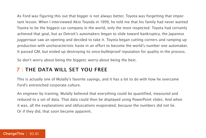As Ford was figuring this out that bigger is not always better, Toyota was forgetting that important lesson. When I interviewed Akio Toyoda in 1999, he told me that his family had never wanted Toyota to be the biggest car company in the world, only the most respected. Toyota had certainly achieved that goal, but as Detroit's automakers began to slide toward bankruptcy, the Japanese juggernaut saw an opening and decided to take it. Toyota began cutting corners and ramping up production with uncharacteristic haste in an effort to become the world's number one automaker. It passed GM, but ended up destroying its once-bulletproof reputation for quality in the process.

So don't worry about being the biggest; worry about being the best.

#### **7** | **THE DATA WILL SET YOU FREE**

This is actually one of Mulally's favorite sayings, and it has a lot to do with how he overcame Ford's entrenched corporate culture.

An engineer by training, Mulally believed that everything could be quantified, measured and reduced to a set of data. That data could then be displayed using PowerPoint slides. And when it was, all the explanations and obfuscations evaporated, because the numbers did not lie. Or if they did, that soon became apparent.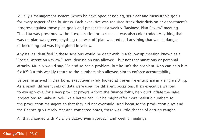Mulally's management system, which he developed at Boeing, set clear and measurable goals for every aspect of the business. Each executive was required track their division or department's progress against those plan goals and present it at a weekly "Business Plan Review" meeting. The data was presented without explanation or excuses. It was also color-coded. Anything that was on plan was green, anything that was off plan was red and anything that was in danger of becoming red was highlighted in yellow.

Any issues identified in these sessions would be dealt with in a follow-up meeting known as a "Special Attention Review." Here, discussion was allowed—but not recriminations or personal attacks. Mulally would say, "So-and-so has a problem, but he isn't the problem. Who can help him fix it?" But this weekly return to the numbers also allowed him to enforce accountability.

Before he arrived in Dearborn, executives rarely looked at the entire enterprise in a single sitting. As a result, different sets of data were used for different occasions. If an executive wanted to win approval for a new product program from the finance folks, he would inflate the sales projections to make it look like a better bet. But he might offer more realistic numbers to the production managers so that they did not overbuild. And because the production guys and the finance guys rarely met and compared notes, there was little chance of getting caught.

All that changed with Mulally's data-driven approach and weekly meetings.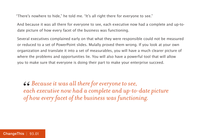"There's nowhere to hide," he told me. "It's all right there for everyone to see."

And because it was all there for everyone to see, each executive now had a complete and up-todate picture of how every facet of the business was functioning.

Several executives complained early on that what they were responsible could not be measured or reduced to a set of PowerPoint slides. Mulally proved them wrong. If you look at your own organization and translate it into a set of measurables, you will have a much clearer picture of where the problems and opportunities lie. You will also have a powerful tool that will allow you to make sure that everyone is doing their part to make your enterprise succeed.

*Because it was all there for everyone to see, each executive now had a complete and up-to-date picture*  **66** Because it was all there for everyone to see,<br>each executive now had a complete and up-to-date<br>of how every facet of the business was functioning.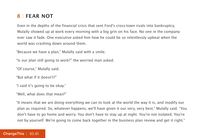#### **8** | **FEAR NOT**

Even in the depths of the financial crisis that sent Ford's cross-town rivals into bankruptcy, Mulally showed up at work every morning with a big grin on his face. No one in the company ever saw it fade. One executive asked him how he could be so relentlessly upbeat when the world was crashing down around them.

"Because we have a plan," Mulally said with a smile.

"Is our plan still going to work?" the worried man asked.

"Of course," Mulally said.

"But what if it doesn't?"

"I said it's going to be okay."

"Well, what does that mean?"

"It means that we are doing everything we can to look at the world the way it is, and modify our plan as required. So, whatever happens, we'll have given it our very, very best," Mulally said. "You don't have to go home and worry. You don't have to stay up at night. You're not isolated. You're not by yourself. We're going to come back together in the business plan review and get it right."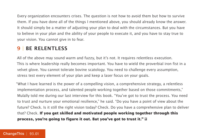Every organization encounters crises. The question is not how to avoid them but how to survive them. If you have done all of the things I mentioned above, you should already know the answer. It should simply be a matter of adjusting your plan to deal with the circumstances. But you have to believe in your plan and the ability of your people to execute it, and you have to stay true to your vision. You cannot give in to fear.

#### **9** | **BE RELENTLESS**

All of the above may sound warm and fuzzy, but it's not. It requires relentless execution. This is where leadership really becomes important. You have to wield the proverbial iron fist in a velvet glove. You cannot tolerate bovine scatology. You need to challenge every assumption, stress test every element of your plan and keep a laser focus on your goals.

"What I have learned is the power of a compelling vision, a comprehensive strategy, a relentless implementation process, and talented people working together based on those commitments," Mulally told me during our last interview for this book. "You've got to trust the process. You need to trust and nurture your emotional resilience," he said. "Do you have a point of view about the future? Check. Is it still the right vision today? Check. Do you have a comprehensive plan to deliver that? Check. **If you get skilled and motivated people working together through this process, you're going to figure it out. But you've got to trust it."**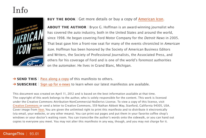## Info



#### **BUY THE BOOK** | Get more details or buy a copy of [American Icon.](http://800ceoread.com/book/show/9780307886057)

**ABOUT THE AUTHOR** | Bryce G. Hoffman is an award-winning journalist who has covered the auto industry, both in the United States and around the world, since 1998. He began covering Ford Motor Company for the Detroit News in 2005. That beat gave him a front-row seat for many of the events chronicled in American Icon. Hoffman has been honored by the Society of American Business Editors and Writers, the Society of Professional Journalists, the Associated Press, and others for his coverage of Ford and is one of the world's foremost authorities on the automaker. He lives in Grand Blanc, Michigan.

- **→ SEND THIS** | [Pass along a copy](http://www.changethis.com/93.01.AmericanIcon/email) of this manifesto to others.
- **→ SUBSCRIBE** | Sign up fo[r e-news](http://changethis.com/page/show/e_mail_newsletter) to learn when our latest manifestos are available.

This document was created on April 11, 2012 and is based on the best information available at that time. The copyright of this work belongs to the author, who is solely responsible for the content. This work is licensed under the Creative Commons Attribution-NonCommercial-NoDerivs License. To view a copy of this license, visit [Creative Commons](http://creativecommons.org/licenses/by-nc-nd/2.0/) or send a letter to Creative Commons, 559 Nathan Abbott Way, Stanford, California 94305, USA. Cover image from [Veer.](http://www.veer.com/) You are given the unlimited right to print this manifesto and to distribute it electronically (via email, your website, or any other means). You can print out pages and put them in your favorite coffee shop's windows or your doctor's waiting room. You can transcribe the author's words onto the sidewalk, or you can hand out copies to everyone you meet. You may not alter this manifesto in any way, though, and you may not charge for it.

#### ChangeThis | 93.01